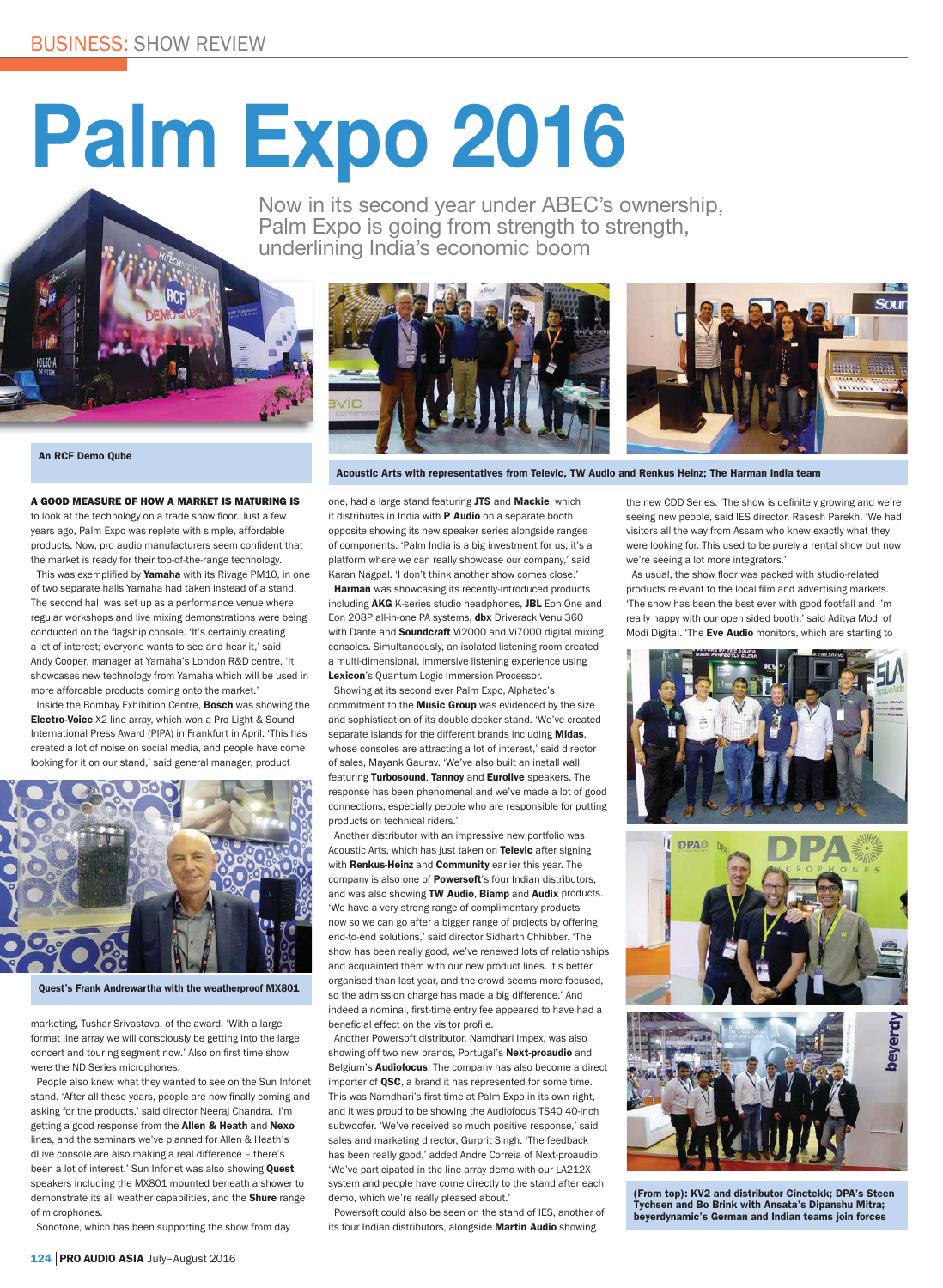## Palm Expo 2016

Now in its second year under ABEC's ownership, Palm Expo is going from strength to strength, underlining India's economic boom





**An RCF Demo Qube** 

A GOOD MEASURE OF HOW A MARKET IS MATURING IS to look at the technology on a trade show floor. Just a few

years ago, Palm Expo was replete with simple, affordable products. Now, pro audio manufacturers seem confident that the market is ready for their ton-of-the-range technology

This was exemplified by Yamaha with its Rivage PM10, in one of two separate halls Yamaha had taken instead of a stand. The second hall was set up as a performance venue where regular workshops and live mixing demonstrations were being conducted on the flagship console. 'It's certainly creating a lot of interest; everyone wants to see and hear it,' said Andy Cooper, manager at Yamaha's London R&D centre, 'It showcases new technology from Yamaha which will be used in more affordable products coming onto the market.'

Inside the Bombay Exhibition Centre, Bosch was showing the Electro-Voice X2 line array, which won a Pro Light & Sound International Press Award (PIPA) in Frankfurt in April. 'This has created a lot of noise on social media, and people have come looking for it on our stand,' said general manager, product



Quest's Frank Andrewartha with the weatherproof MX801

marketing, Tushar Srivastava, of the award. 'With a large format line array we will consciously be getting into the large concert and touring segment now.' Also on first time show were the ND Series microphones.

People also knew what they wanted to see on the Sun Infonet stand. 'After all these years, people are now finally coming and asking for the products,' said director Neeraj Chandra. 'I'm getting a good response from the Allen & Heath and Nexo lines, and the seminars we've planned for Allen & Heath's dLive console are also making a real difference - there's been a lot of interest.' Sun Infonet was also showing Ouest speakers including the MX801 mounted beneath a shower to demonstrate its all weather capabilities, and the **Shure** range of microphones

Sonotone, which has been supporting the show from day

Acoustic Arts with representatives from Televic, TW Audio and Renkus Heinz; The Harman India team

one, had a large stand featuring JTS and Mackie, which it distributes in India with P Audio on a separate booth opposite showing its new speaker series alongside ranges of components. 'Palm India is a big investment for us; it's a platform where we can really showcase our company.' said Karan Nagpal. 'I don't think another show comes close.' Harman was showcasing its recently-introduced products including AKG K-series studio headphones. JBL Eon One and Eon 208P all-in-one PA systems, dbx Driverack Venu 360 with Dante and **Soundcraft** Vi2000 and Vi7000 digital mixing consoles. Simultaneously, an isolated listening room created a multi-dimensional, immersive listening experience using Lexicon's Ouantum Logic Immersion Processor.

Showing at its second ever Palm Expo, Alphatec's commitment to the **Music Group** was evidenced by the size and sophistication of its double decker stand. 'We've created separate islands for the different brands including Midas, whose consoles are attracting a lot of interest,' said director of sales. Mayank Gauray, 'We've also built an install wall featuring Turbosound, Tannoy and Eurolive speakers. The response has been phenomenal and we've made a lot of good connections, especially people who are responsible for putting products on technical riders.'

Another distributor with an impressive new portfolio was Acoustic Arts, which has just taken on Televic after signing with **Renkus-Heinz** and **Community** earlier this year. The company is also one of **Powersoft**'s four Indian distributors, and was also showing TW Audio, Biamp and Audix products. 'We have a very strong range of complimentary products now so we can go after a bigger range of projects by offering end-to-end solutions.' said director Sidharth Chhibber. 'The show has been really good, we've renewed lots of relationships and acquainted them with our new product lines. It's better organised than last year, and the crowd seems more focused. so the admission charge has made a big difference.' And indeed a nominal, first-time entry fee appeared to have had a beneficial effect on the visitor profile.

Another Powersoft distributor, Namdhari Impex, was also showing off two new brands, Portugal's Next-proaudio and Belgium's Audiofocus. The company has also become a direct importer of QSC, a brand it has represented for some time. This was Namdhari's first time at Palm Expo in its own right. and it was proud to be showing the Audiofocus TS40 40-inch subwoofer. 'We've received so much positive response.' said sales and marketing director, Gurprit Singh. 'The feedback has been really good,' added Andre Correia of Next-proaudio. 'We've participated in the line array demo with our LA212X system and people have come directly to the stand after each demo, which we're really pleased about.'

Powersoft could also be seen on the stand of IES. another of its four Indian distributors, alongside Martin Audio showing

the new CDD Series. 'The show is definitely growing and we're seeing new people, said IES director, Rasesh Parekh, 'We had visitors all the way from Assam who knew exactly what they were looking for. This used to be purely a rental show but now we're seeing a lot more integrators.

As usual, the show floor was packed with studio-related products relevant to the local film and advertising markets. 'The show has been the best ever with good footfall and I'm really happy with our open sided booth,' said Aditya Modi of Modi Digital. 'The Eve Audio monitors, which are starting to







(From top): KV2 and distributor Cinetekk; DPA's Steen Tychsen and Bo Brink with Ansata's Dipanshu Mitra; beverdynamic's German and Indian teams join forces